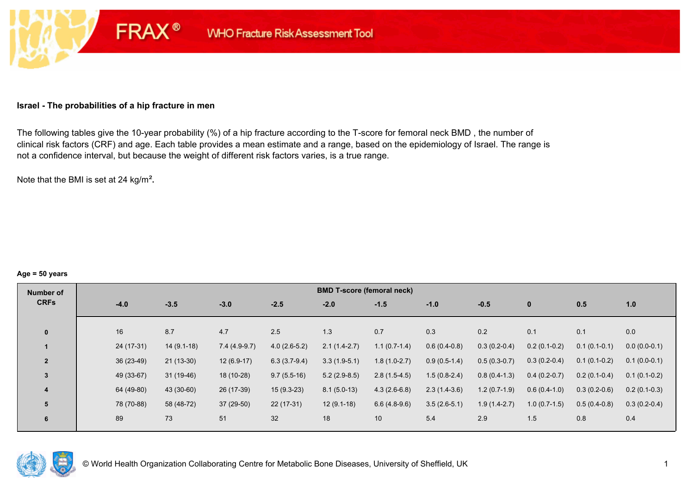#### **Israel - The probabilities of a hip fracture in men**

**FRAX®** 

The following tables give the 10-year probability (%) of a hip fracture according to the T-score for femoral neck BMD , the number of clinical risk factors (CRF) and age. Each table provides a mean estimate and a range, based on the epidemiology of Israel. The range is not a confidence interval, but because the weight of different risk factors varies, is a true range.

Note that the BMI is set at 24 kg/m²**.** 

#### **Age = 50 years**

| Number of      |             |              |                |                | <b>BMD T-score (femoral neck)</b> |                |                |                |                |                |                |
|----------------|-------------|--------------|----------------|----------------|-----------------------------------|----------------|----------------|----------------|----------------|----------------|----------------|
| <b>CRFs</b>    | $-4.0$      | $-3.5$       | $-3.0$         | $-2.5$         | $-2.0$                            | $-1.5$         | $-1.0$         | $-0.5$         | $\mathbf{0}$   | 0.5            | 1.0            |
|                |             |              |                |                |                                   |                |                |                |                |                |                |
| $\mathbf{0}$   | 16          | 8.7          | 4.7            | 2.5            | 1.3                               | 0.7            | 0.3            | 0.2            | 0.1            | 0.1            | 0.0            |
|                | 24 (17-31)  | $14(9.1-18)$ | $7.4(4.9-9.7)$ | $4.0(2.6-5.2)$ | $2.1(1.4-2.7)$                    | $1.1(0.7-1.4)$ | $0.6(0.4-0.8)$ | $0.3(0.2-0.4)$ | $0.2(0.1-0.2)$ | $0.1(0.1-0.1)$ | $0.0(0.0-0.1)$ |
| $\overline{2}$ | $36(23-49)$ | $21(13-30)$  | $12(6.9-17)$   | $6.3(3.7-9.4)$ | $3.3(1.9-5.1)$                    | $1.8(1.0-2.7)$ | $0.9(0.5-1.4)$ | $0.5(0.3-0.7)$ | $0.3(0.2-0.4)$ | $0.1(0.1-0.2)$ | $0.1(0.0-0.1)$ |
| 3              | 49 (33-67)  | $31(19-46)$  | 18 (10-28)     | $9.7(5.5-16)$  | $5.2(2.9-8.5)$                    | $2.8(1.5-4.5)$ | $1.5(0.8-2.4)$ | $0.8(0.4-1.3)$ | $0.4(0.2-0.7)$ | $0.2(0.1-0.4)$ | $0.1(0.1-0.2)$ |
| 4              | 64 (49-80)  | 43 (30-60)   | 26 (17-39)     | $15(9.3-23)$   | $8.1(5.0-13)$                     | $4.3(2.6-6.8)$ | $2.3(1.4-3.6)$ | $1.2(0.7-1.9)$ | $0.6(0.4-1.0)$ | $0.3(0.2-0.6)$ | $0.2(0.1-0.3)$ |
| 5              | 78 (70-88)  | 58 (48-72)   | 37 (29-50)     | $22(17-31)$    | $12(9.1-18)$                      | $6.6(4.8-9.6)$ | $3.5(2.6-5.1)$ | $1.9(1.4-2.7)$ | $1.0(0.7-1.5)$ | $0.5(0.4-0.8)$ | $0.3(0.2-0.4)$ |
| 6              | 89          | 73           | 51             | 32             | 18                                | 10             | 5.4            | 2.9            | 1.5            | 0.8            | 0.4            |

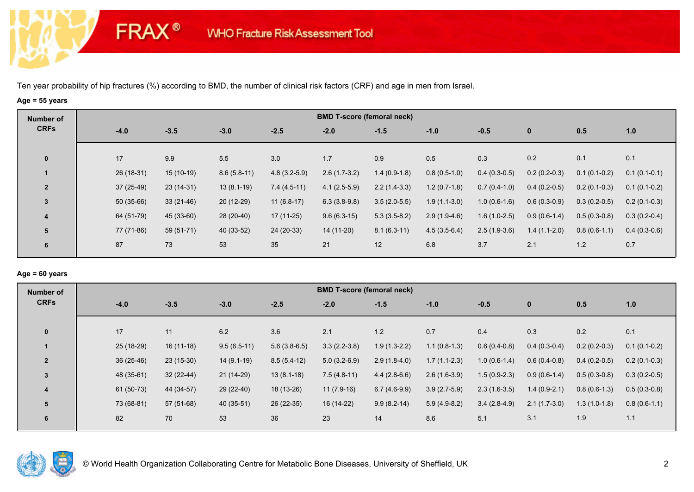**FRAX®** 

# **Age = 55 years**

| Number of      | <b>BMD T-score (femoral neck)</b> |             |               |                |                |                |                |                |                |                |                |  |  |
|----------------|-----------------------------------|-------------|---------------|----------------|----------------|----------------|----------------|----------------|----------------|----------------|----------------|--|--|
| <b>CRFs</b>    | $-4.0$                            | $-3.5$      | $-3.0$        | $-2.5$         | $-2.0$         | $-1.5$         | $-1.0$         | $-0.5$         | $\mathbf 0$    | 0.5            | 1.0            |  |  |
| $\mathbf 0$    | 17                                | 9.9         | 5.5           | 3.0            | 1.7            | 0.9            | 0.5            | 0.3            | 0.2            | 0.1            | 0.1            |  |  |
|                | 26 (18-31)                        | $15(10-19)$ | $8.6(5.8-11)$ | $4.8(3.2-5.9)$ | $2.6(1.7-3.2)$ | $1.4(0.9-1.8)$ | $0.8(0.5-1.0)$ | $0.4(0.3-0.5)$ | $0.2(0.2-0.3)$ | $0.1(0.1-0.2)$ | $0.1(0.1-0.1)$ |  |  |
| $\overline{2}$ | $37(25-49)$                       | $23(14-31)$ | $13(8.1-19)$  | $7.4(4.5-11)$  | $4.1(2.5-5.9)$ | $2.2(1.4-3.3)$ | $1.2(0.7-1.8)$ | $0.7(0.4-1.0)$ | $0.4(0.2-0.5)$ | $0.2(0.1-0.3)$ | $0.1(0.1-0.2)$ |  |  |
| $\overline{3}$ | $50(35-66)$                       | $33(21-46)$ | $20(12-29)$   | $11(6.8-17)$   | $6.3(3.8-9.8)$ | $3.5(2.0-5.5)$ | $1.9(1.1-3.0)$ | $1.0(0.6-1.6)$ | $0.6(0.3-0.9)$ | $0.3(0.2-0.5)$ | $0.2(0.1-0.3)$ |  |  |
| 4              | 64 (51-79)                        | 45 (33-60)  | 28 (20-40)    | $17(11-25)$    | $9.6(6.3-15)$  | $5.3(3.5-8.2)$ | $2.9(1.9-4.6)$ | $1.6(1.0-2.5)$ | $0.9(0.6-1.4)$ | $0.5(0.3-0.8)$ | $0.3(0.2-0.4)$ |  |  |
| 5              | 77 (71-86)                        | $59(51-71)$ | 40 (33-52)    | 24 (20-33)     | 14 (11-20)     | $8.1(6.3-11)$  | $4.5(3.5-6.4)$ | $2.5(1.9-3.6)$ | $1.4(1.1-2.0)$ | $0.8(0.6-1.1)$ | $0.4(0.3-0.6)$ |  |  |
| 6              | 87                                | 73          | 53            | 35             | 21             | 12             | 6.8            | 3.7            | 2.1            | $1.2$          | 0.7            |  |  |

### **Age = 60 years**

| Number of               |             |             |               |                | <b>BMD T-score (femoral neck)</b> |                |                |                |                |                |                |
|-------------------------|-------------|-------------|---------------|----------------|-----------------------------------|----------------|----------------|----------------|----------------|----------------|----------------|
| <b>CRFs</b>             | $-4.0$      | $-3.5$      | $-3.0$        | $-2.5$         | $-2.0$                            | $-1.5$         | $-1.0$         | $-0.5$         | $\mathbf{0}$   | 0.5            | 1.0            |
| $\mathbf{0}$            | 17          | 11          | 6.2           | 3.6            | 2.1                               | 1.2            | 0.7            | 0.4            | 0.3            | 0.2            | 0.1            |
|                         | 25 (18-29)  | $16(11-18)$ | $9.5(6.5-11)$ | $5.6(3.8-6.5)$ | $3.3(2.2-3.8)$                    | $1.9(1.3-2.2)$ | $1.1(0.8-1.3)$ | $0.6(0.4-0.8)$ | $0.4(0.3-0.4)$ | $0.2(0.2-0.3)$ | $0.1(0.1-0.2)$ |
| $\overline{2}$          | $36(25-46)$ | $23(15-30)$ | $14(9.1-19)$  | $8.5(5.4-12)$  | $5.0(3.2-6.9)$                    | $2.9(1.8-4.0)$ | $1.7(1.1-2.3)$ | $1.0(0.6-1.4)$ | $0.6(0.4-0.8)$ | $0.4(0.2-0.5)$ | $0.2(0.1-0.3)$ |
| 3                       | 48 (35-61)  | $32(22-44)$ | $21(14-29)$   | $13(8.1-18)$   | $7.5(4.8-11)$                     | $4.4(2.8-6.6)$ | $2.6(1.6-3.9)$ | $1.5(0.9-2.3)$ | $0.9(0.6-1.4)$ | $0.5(0.3-0.8)$ | $0.3(0.2-0.5)$ |
| $\overline{\mathbf{4}}$ | 61 (50-73)  | 44 (34-57)  | 29 (22-40)    | 18 (13-26)     | $11(7.9-16)$                      | $6.7(4.6-9.9)$ | $3.9(2.7-5.9)$ | $2.3(1.6-3.5)$ | $1.4(0.9-2.1)$ | $0.8(0.6-1.3)$ | $0.5(0.3-0.8)$ |
| 5                       | 73 (68-81)  | 57 (51-68)  | 40 (35-51)    | $26(22-35)$    | 16 (14-22)                        | $9.9(8.2-14)$  | $5.9(4.9-8.2)$ | $3.4(2.8-4.9)$ | $2.1(1.7-3.0)$ | $1.3(1.0-1.8)$ | $0.8(0.6-1.1)$ |
| 6                       | 82          | 70          | 53            | 36             | 23                                | 14             | 8.6            | 5.1            | 3.1            | 1.9            | 1.1            |

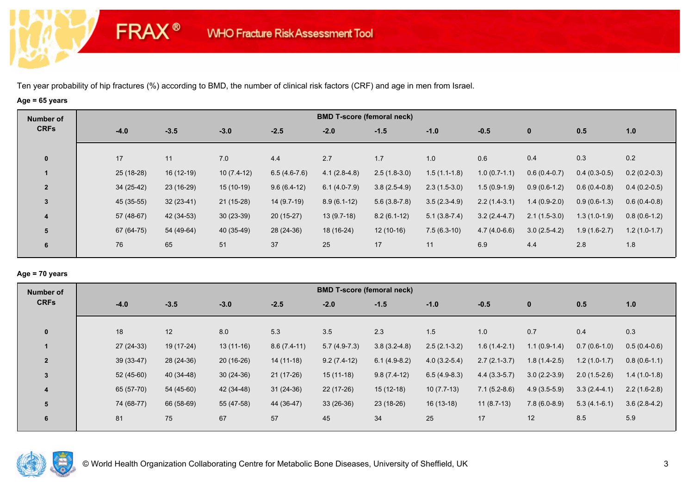**FRAX®** 

# **Age = 65 years**

| Number of               |             |             |              |                | <b>BMD T-score (femoral neck)</b> |                |                |                |                |                |                |
|-------------------------|-------------|-------------|--------------|----------------|-----------------------------------|----------------|----------------|----------------|----------------|----------------|----------------|
| <b>CRFs</b>             | $-4.0$      | $-3.5$      | $-3.0$       | $-2.5$         | $-2.0$                            | $-1.5$         | $-1.0$         | $-0.5$         | $\bf{0}$       | 0.5            | 1.0            |
|                         | 17          | 11          | 7.0          | 4.4            | 2.7                               | 1.7            | 1.0            | 0.6            | 0.4            | 0.3            | 0.2            |
| $\mathbf 0$             |             |             |              |                |                                   |                |                |                |                |                |                |
|                         | $25(18-28)$ | $16(12-19)$ | $10(7.4-12)$ | $6.5(4.6-7.6)$ | $4.1(2.8-4.8)$                    | $2.5(1.8-3.0)$ | $1.5(1.1-1.8)$ | $1.0(0.7-1.1)$ | $0.6(0.4-0.7)$ | $0.4(0.3-0.5)$ | $0.2(0.2-0.3)$ |
| $\overline{2}$          | $34(25-42)$ | 23 (16-29)  | $15(10-19)$  | $9.6(6.4-12)$  | $6.1(4.0-7.9)$                    | $3.8(2.5-4.9)$ | $2.3(1.5-3.0)$ | $1.5(0.9-1.9)$ | $0.9(0.6-1.2)$ | $0.6(0.4-0.8)$ | $0.4(0.2-0.5)$ |
| $\mathbf{3}$            | 45 (35-55)  | $32(23-41)$ | $21(15-28)$  | 14 (9.7-19)    | $8.9(6.1-12)$                     | $5.6(3.8-7.8)$ | $3.5(2.3-4.9)$ | $2.2(1.4-3.1)$ | $1.4(0.9-2.0)$ | $0.9(0.6-1.3)$ | $0.6(0.4-0.8)$ |
| $\overline{\mathbf{4}}$ | 57 (48-67)  | 42 (34-53)  | $30(23-39)$  | $20(15-27)$    | $13(9.7-18)$                      | $8.2(6.1-12)$  | $5.1(3.8-7.4)$ | $3.2(2.4-4.7)$ | $2.1(1.5-3.0)$ | $1.3(1.0-1.9)$ | $0.8(0.6-1.2)$ |
| 5                       | 67 (64-75)  | 54 (49-64)  | 40 (35-49)   | 28 (24-36)     | 18 (16-24)                        | $12(10-16)$    | $7.5(6.3-10)$  | $4.7(4.0-6.6)$ | $3.0(2.5-4.2)$ | $1.9(1.6-2.7)$ | $1.2(1.0-1.7)$ |
| 6                       | 76          | 65          | 51           | 37             | 25                                | 17             | 11             | 6.9            | 4.4            | 2.8            | 1.8            |
|                         |             |             |              |                |                                   |                |                |                |                |                |                |

### **Age = 70 years**

| Number of      |             |            |             |               | <b>BMD T-score (femoral neck)</b> |                |                |                |                |                |                |
|----------------|-------------|------------|-------------|---------------|-----------------------------------|----------------|----------------|----------------|----------------|----------------|----------------|
| <b>CRFs</b>    | $-4.0$      | $-3.5$     | $-3.0$      | $-2.5$        | $-2.0$                            | $-1.5$         | $-1.0$         | $-0.5$         | $\mathbf 0$    | 0.5            | 1.0            |
| $\mathbf{0}$   | 18          | 12         | 8.0         | 5.3           | 3.5                               | 2.3            | 1.5            | 1.0            | 0.7            | 0.4            | 0.3            |
|                |             |            |             |               |                                   |                |                |                |                |                |                |
|                | $27(24-33)$ | 19 (17-24) | $13(11-16)$ | $8.6(7.4-11)$ | $5.7(4.9-7.3)$                    | $3.8(3.2-4.8)$ | $2.5(2.1-3.2)$ | $1.6(1.4-2.1)$ | $1.1(0.9-1.4)$ | $0.7(0.6-1.0)$ | $0.5(0.4-0.6)$ |
| $\overline{2}$ | $39(33-47)$ | 28 (24-36) | $20(16-26)$ | $14(11-18)$   | $9.2(7.4-12)$                     | $6.1(4.9-8.2)$ | $4.0(3.2-5.4)$ | $2.7(2.1-3.7)$ | $1.8(1.4-2.5)$ | $1.2(1.0-1.7)$ | $0.8(0.6-1.1)$ |
| $\overline{3}$ | $52(45-60)$ | 40 (34-48) | $30(24-36)$ | $21(17-26)$   | $15(11-18)$                       | $9.8(7.4-12)$  | $6.5(4.9-8.3)$ | $4.4(3.3-5.7)$ | $3.0(2.2-3.9)$ | $2.0(1.5-2.6)$ | $1.4(1.0-1.8)$ |
| 4              | 65 (57-70)  | 54 (45-60) | 42 (34-48)  | $31(24-36)$   | 22 (17-26)                        | $15(12-18)$    | $10(7.7-13)$   | $7.1(5.2-8.6)$ | $4.9(3.5-5.9)$ | $3.3(2.4-4.1)$ | $2.2(1.6-2.8)$ |
| 5              | 74 (68-77)  | 66 (58-69) | 55 (47-58)  | 44 (36-47)    | $33(26-36)$                       | 23 (18-26)     | $16(13-18)$    | $11(8.7-13)$   | $7.8(6.0-8.9)$ | $5.3(4.1-6.1)$ | $3.6(2.8-4.2)$ |
| 6              | 81          | 75         | 67          | 57            | 45                                | 34             | 25             | 17             | 12             | 8.5            | 5.9            |

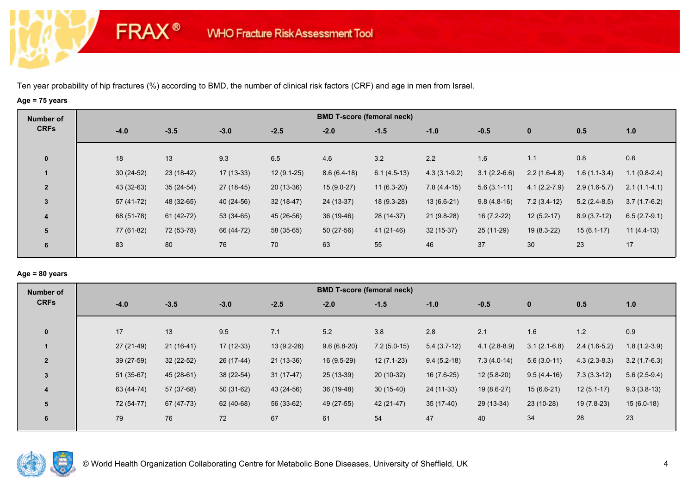**FRAX®** 

# **Age = 75 years**

| Number of      | <b>BMD T-score (femoral neck)</b> |             |             |              |               |               |                |                |                |                |                |  |  |
|----------------|-----------------------------------|-------------|-------------|--------------|---------------|---------------|----------------|----------------|----------------|----------------|----------------|--|--|
| <b>CRFs</b>    | $-4.0$                            | $-3.5$      | $-3.0$      | $-2.5$       | $-2.0$        | $-1.5$        | $-1.0$         | $-0.5$         | $\mathbf 0$    | 0.5            | 1.0            |  |  |
| $\mathbf 0$    | 18                                | 13          | 9.3         | 6.5          | 4.6           | 3.2           | 2.2            | 1.6            | 1.1            | 0.8            | 0.6            |  |  |
|                | $30(24-52)$                       | $23(18-42)$ | $17(13-33)$ | $12(9.1-25)$ | $8.6(6.4-18)$ | $6.1(4.5-13)$ | $4.3(3.1-9.2)$ | $3.1(2.2-6.6)$ | $2.2(1.6-4.8)$ | $1.6(1.1-3.4)$ | $1.1(0.8-2.4)$ |  |  |
| $\overline{2}$ | 43 (32-63)                        | $35(24-54)$ | 27 (18-45)  | $20(13-36)$  | $15(9.0-27)$  | $11(6.3-20)$  | $7.8(4.4-15)$  | $5.6(3.1-11)$  | $4.1(2.2-7.9)$ | $2.9(1.6-5.7)$ | $2.1(1.1-4.1)$ |  |  |
| $\overline{3}$ | 57 (41-72)                        | 48 (32-65)  | 40 (24-56)  | $32(18-47)$  | 24 (13-37)    | $18(9.3-28)$  | $13(6.6-21)$   | $9.8(4.8-16)$  | $7.2(3.4-12)$  | $5.2(2.4-8.5)$ | $3.7(1.7-6.2)$ |  |  |
| 4              | 68 (51-78)                        | 61 (42-72)  | $53(34-65)$ | 45 (26-56)   | 36 (19-46)    | 28 (14-37)    | $21(9.8-28)$   | $16(7.2-22)$   | $12(5.2-17)$   | $8.9(3.7-12)$  | $6.5(2.7-9.1)$ |  |  |
| 5              | 77 (61-82)                        | 72 (53-78)  | 66 (44-72)  | 58 (35-65)   | $50(27-56)$   | 41 (21-46)    | $32(15-37)$    | 25 (11-29)     | $19(8.3-22)$   | $15(6.1-17)$   | $11(4.4-13)$   |  |  |
| 6              | 83                                | 80          | 76          | 70           | 63            | 55            | 46             | 37             | 30             | 23             | 17             |  |  |

## **Age = 80 years**

| Number of                |             |             |             |              |               | <b>BMD T-score (femoral neck)</b> |               |                |                |                |                |
|--------------------------|-------------|-------------|-------------|--------------|---------------|-----------------------------------|---------------|----------------|----------------|----------------|----------------|
| <b>CRFs</b>              | $-4.0$      | $-3.5$      | $-3.0$      | $-2.5$       | $-2.0$        | $-1.5$                            | $-1.0$        | $-0.5$         | $\mathbf{0}$   | 0.5            | 1.0            |
|                          |             |             |             |              |               |                                   |               |                |                |                |                |
| $\mathbf{0}$             | 17          | 13          | 9.5         | 7.1          | 5.2           | 3.8                               | 2.8           | 2.1            | 1.6            | 1.2            | 0.9            |
|                          | 27 (21-49)  | $21(16-41)$ | 17 (12-33)  | $13(9.2-26)$ | $9.6(6.8-20)$ | $7.2(5.0-15)$                     | $5.4(3.7-12)$ | $4.1(2.8-8.9)$ | $3.1(2.1-6.8)$ | $2.4(1.6-5.2)$ | $1.8(1.2-3.9)$ |
| $\overline{\phantom{a}}$ | 39 (27-59)  | $32(22-52)$ | 26 (17-44)  | $21(13-36)$  | 16 (9.5-29)   | $12(7.1-23)$                      | $9.4(5.2-18)$ | $7.3(4.0-14)$  | $5.6(3.0-11)$  | $4.3(2.3-8.3)$ | $3.2(1.7-6.3)$ |
| $\overline{3}$           | $51(35-67)$ | 45 (28-61)  | 38 (22-54)  | $31(17-47)$  | $25(13-39)$   | 20 (10-32)                        | $16(7.6-25)$  | $12(5.8-20)$   | $9.5(4.4-16)$  | $7.3(3.3-12)$  | $5.6(2.5-9.4)$ |
| $\overline{\mathbf{4}}$  | 63 (44-74)  | 57 (37-68)  | $50(31-62)$ | 43 (24-56)   | 36 (19-48)    | $30(15-40)$                       | 24 (11-33)    | 19 (8.6-27)    | $15(6.6-21)$   | $12(5.1-17)$   | $9.3(3.8-13)$  |
| 5                        | 72 (54-77)  | 67 (47-73)  | 62 (40-68)  | 56 (33-62)   | 49 (27-55)    | $42(21-47)$                       | $35(17-40)$   | 29 (13-34)     | $23(10-28)$    | 19 (7.8-23)    | $15(6.0-18)$   |
| 6                        | 79          | 76          | 72          | 67           | 61            | 54                                | 47            | 40             | 34             | 28             | 23             |
|                          |             |             |             |              |               |                                   |               |                |                |                |                |